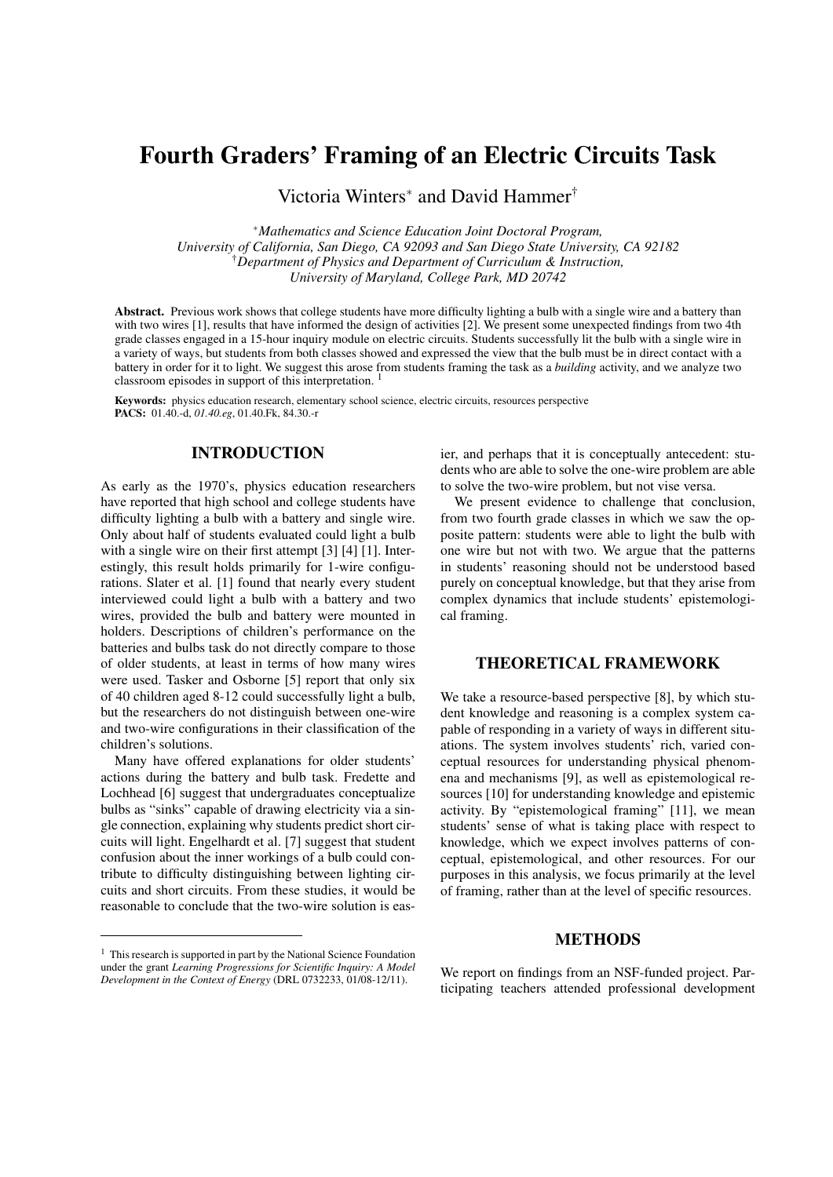# Fourth Graders' Framing of an Electric Circuits Task

Victoria Winters<sup>∗</sup> and David Hammer†

<sup>∗</sup>*Mathematics and Science Education Joint Doctoral Program, University of California, San Diego, CA 92093 and San Diego State University, CA 92182* †*Department of Physics and Department of Curriculum & Instruction, University of Maryland, College Park, MD 20742*

Abstract. Previous work shows that college students have more difficulty lighting a bulb with a single wire and a battery than with two wires [1], results that have informed the design of activities [2]. We present some unexpected findings from two 4th grade classes engaged in a 15-hour inquiry module on electric circuits. Students successfully lit the bulb with a single wire in a variety of ways, but students from both classes showed and expressed the view that the bulb must be in direct contact with a battery in order for it to light. We suggest this arose from students framing the task as a *building* activity, and we analyze two classroom episodes in support of this interpretation.  $<sup>1</sup>$ </sup>

Keywords: physics education research, elementary school science, electric circuits, resources perspective PACS: 01.40.-d, *01.40.eg*, 01.40.Fk, 84.30.-r

# INTRODUCTION

As early as the 1970's, physics education researchers have reported that high school and college students have difficulty lighting a bulb with a battery and single wire. Only about half of students evaluated could light a bulb with a single wire on their first attempt [3] [4] [1]. Interestingly, this result holds primarily for 1-wire configurations. Slater et al. [1] found that nearly every student interviewed could light a bulb with a battery and two wires, provided the bulb and battery were mounted in holders. Descriptions of children's performance on the batteries and bulbs task do not directly compare to those of older students, at least in terms of how many wires were used. Tasker and Osborne [5] report that only six of 40 children aged 8-12 could successfully light a bulb, but the researchers do not distinguish between one-wire and two-wire configurations in their classification of the children's solutions.

Many have offered explanations for older students' actions during the battery and bulb task. Fredette and Lochhead [6] suggest that undergraduates conceptualize bulbs as "sinks" capable of drawing electricity via a single connection, explaining why students predict short circuits will light. Engelhardt et al. [7] suggest that student confusion about the inner workings of a bulb could contribute to difficulty distinguishing between lighting circuits and short circuits. From these studies, it would be reasonable to conclude that the two-wire solution is eas-

ier, and perhaps that it is conceptually antecedent: students who are able to solve the one-wire problem are able to solve the two-wire problem, but not vise versa.

We present evidence to challenge that conclusion, from two fourth grade classes in which we saw the opposite pattern: students were able to light the bulb with one wire but not with two. We argue that the patterns in students' reasoning should not be understood based purely on conceptual knowledge, but that they arise from complex dynamics that include students' epistemological framing.

## THEORETICAL FRAMEWORK

We take a resource-based perspective [8], by which student knowledge and reasoning is a complex system capable of responding in a variety of ways in different situations. The system involves students' rich, varied conceptual resources for understanding physical phenomena and mechanisms [9], as well as epistemological resources [10] for understanding knowledge and epistemic activity. By "epistemological framing" [11], we mean students' sense of what is taking place with respect to knowledge, which we expect involves patterns of conceptual, epistemological, and other resources. For our purposes in this analysis, we focus primarily at the level of framing, rather than at the level of specific resources.

### **METHODS**

We report on findings from an NSF-funded project. Participating teachers attended professional development

<sup>1</sup> This research is supported in part by the National Science Foundation under the grant *Learning Progressions for Scientific Inquiry: A Model Development in the Context of Energy* (DRL 0732233, 01/08-12/11).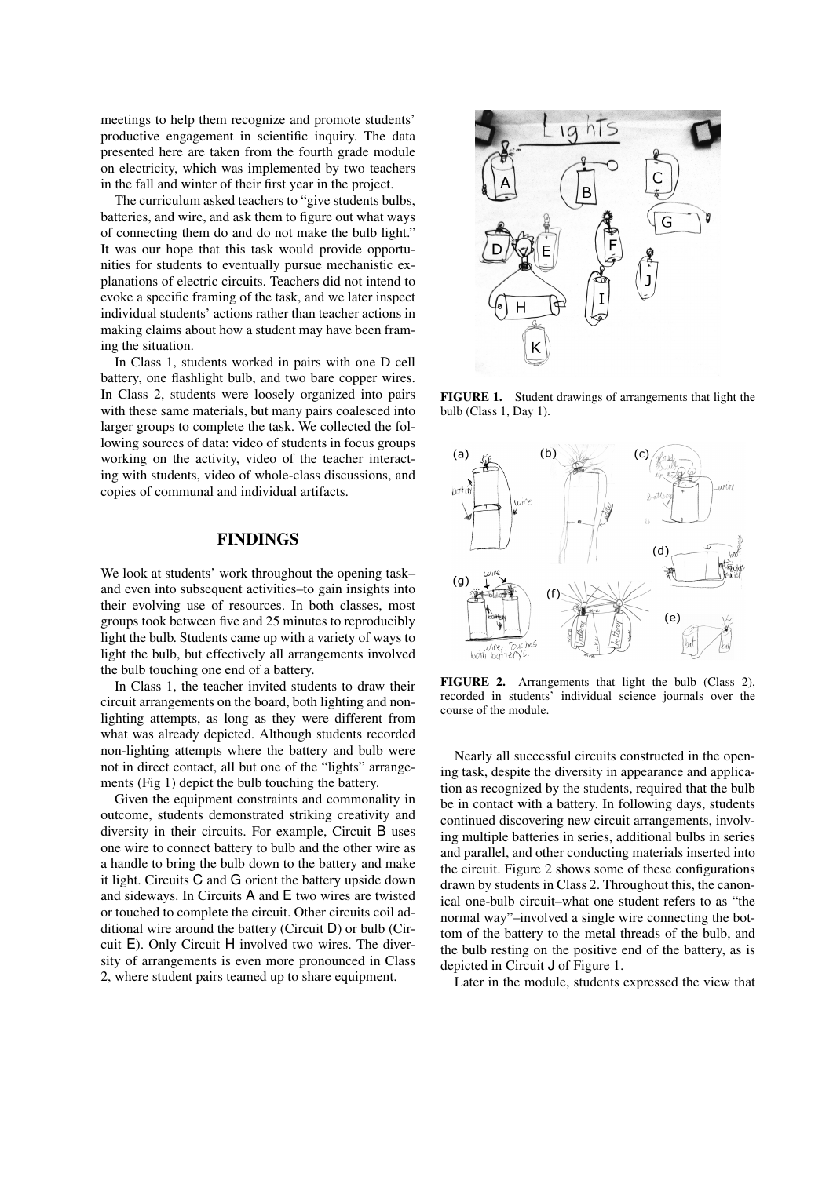meetings to help them recognize and promote students' productive engagement in scientific inquiry. The data presented here are taken from the fourth grade module on electricity, which was implemented by two teachers in the fall and winter of their first year in the project.

The curriculum asked teachers to "give students bulbs, batteries, and wire, and ask them to figure out what ways of connecting them do and do not make the bulb light." It was our hope that this task would provide opportunities for students to eventually pursue mechanistic explanations of electric circuits. Teachers did not intend to evoke a specific framing of the task, and we later inspect individual students' actions rather than teacher actions in making claims about how a student may have been framing the situation.

In Class 1, students worked in pairs with one D cell battery, one flashlight bulb, and two bare copper wires. In Class 2, students were loosely organized into pairs with these same materials, but many pairs coalesced into larger groups to complete the task. We collected the following sources of data: video of students in focus groups working on the activity, video of the teacher interacting with students, video of whole-class discussions, and copies of communal and individual artifacts.

#### FINDINGS

We look at students' work throughout the opening task– and even into subsequent activities–to gain insights into their evolving use of resources. In both classes, most groups took between five and 25 minutes to reproducibly light the bulb. Students came up with a variety of ways to light the bulb, but effectively all arrangements involved the bulb touching one end of a battery.

In Class 1, the teacher invited students to draw their circuit arrangements on the board, both lighting and nonlighting attempts, as long as they were different from what was already depicted. Although students recorded non-lighting attempts where the battery and bulb were not in direct contact, all but one of the "lights" arrangements (Fig 1) depict the bulb touching the battery.

Given the equipment constraints and commonality in outcome, students demonstrated striking creativity and diversity in their circuits. For example, Circuit B uses one wire to connect battery to bulb and the other wire as a handle to bring the bulb down to the battery and make it light. Circuits C and G orient the battery upside down and sideways. In Circuits A and E two wires are twisted or touched to complete the circuit. Other circuits coil additional wire around the battery (Circuit D) or bulb (Circuit E). Only Circuit H involved two wires. The diversity of arrangements is even more pronounced in Class 2, where student pairs teamed up to share equipment.



FIGURE 1. Student drawings of arrangements that light the bulb (Class 1, Day 1).



FIGURE 2. Arrangements that light the bulb (Class 2), recorded in students' individual science journals over the course of the module.

Nearly all successful circuits constructed in the opening task, despite the diversity in appearance and application as recognized by the students, required that the bulb be in contact with a battery. In following days, students continued discovering new circuit arrangements, involving multiple batteries in series, additional bulbs in series and parallel, and other conducting materials inserted into the circuit. Figure 2 shows some of these configurations drawn by students in Class 2. Throughout this, the canonical one-bulb circuit–what one student refers to as "the normal way"–involved a single wire connecting the bottom of the battery to the metal threads of the bulb, and the bulb resting on the positive end of the battery, as is depicted in Circuit J of Figure 1.

Later in the module, students expressed the view that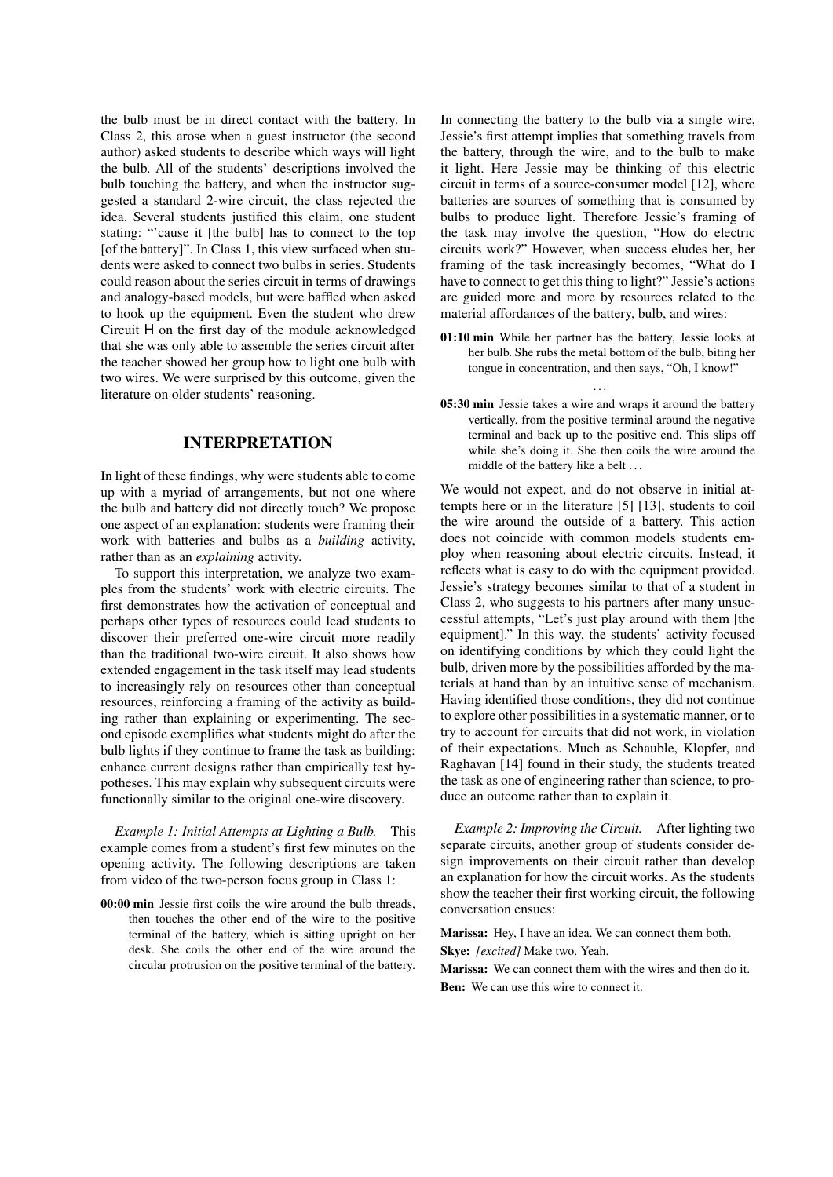the bulb must be in direct contact with the battery. In Class 2, this arose when a guest instructor (the second author) asked students to describe which ways will light the bulb. All of the students' descriptions involved the bulb touching the battery, and when the instructor suggested a standard 2-wire circuit, the class rejected the idea. Several students justified this claim, one student stating: "'cause it [the bulb] has to connect to the top [of the battery]". In Class 1, this view surfaced when students were asked to connect two bulbs in series. Students could reason about the series circuit in terms of drawings and analogy-based models, but were baffled when asked to hook up the equipment. Even the student who drew Circuit H on the first day of the module acknowledged that she was only able to assemble the series circuit after the teacher showed her group how to light one bulb with two wires. We were surprised by this outcome, given the literature on older students' reasoning.

# INTERPRETATION

In light of these findings, why were students able to come up with a myriad of arrangements, but not one where the bulb and battery did not directly touch? We propose one aspect of an explanation: students were framing their work with batteries and bulbs as a *building* activity, rather than as an *explaining* activity.

To support this interpretation, we analyze two examples from the students' work with electric circuits. The first demonstrates how the activation of conceptual and perhaps other types of resources could lead students to discover their preferred one-wire circuit more readily than the traditional two-wire circuit. It also shows how extended engagement in the task itself may lead students to increasingly rely on resources other than conceptual resources, reinforcing a framing of the activity as building rather than explaining or experimenting. The second episode exemplifies what students might do after the bulb lights if they continue to frame the task as building: enhance current designs rather than empirically test hypotheses. This may explain why subsequent circuits were functionally similar to the original one-wire discovery.

*Example 1: Initial Attempts at Lighting a Bulb.* This example comes from a student's first few minutes on the opening activity. The following descriptions are taken from video of the two-person focus group in Class 1:

00:00 min Jessie first coils the wire around the bulb threads, then touches the other end of the wire to the positive terminal of the battery, which is sitting upright on her desk. She coils the other end of the wire around the circular protrusion on the positive terminal of the battery. In connecting the battery to the bulb via a single wire, Jessie's first attempt implies that something travels from the battery, through the wire, and to the bulb to make it light. Here Jessie may be thinking of this electric circuit in terms of a source-consumer model [12], where batteries are sources of something that is consumed by bulbs to produce light. Therefore Jessie's framing of the task may involve the question, "How do electric circuits work?" However, when success eludes her, her framing of the task increasingly becomes, "What do I have to connect to get this thing to light?" Jessie's actions are guided more and more by resources related to the material affordances of the battery, bulb, and wires:

01:10 min While her partner has the battery, Jessie looks at her bulb. She rubs the metal bottom of the bulb, biting her tongue in concentration, and then says, "Oh, I know!"

. . .

05:30 min Jessie takes a wire and wraps it around the battery vertically, from the positive terminal around the negative terminal and back up to the positive end. This slips off while she's doing it. She then coils the wire around the middle of the battery like a belt . . .

We would not expect, and do not observe in initial attempts here or in the literature [5] [13], students to coil the wire around the outside of a battery. This action does not coincide with common models students employ when reasoning about electric circuits. Instead, it reflects what is easy to do with the equipment provided. Jessie's strategy becomes similar to that of a student in Class 2, who suggests to his partners after many unsuccessful attempts, "Let's just play around with them [the equipment]." In this way, the students' activity focused on identifying conditions by which they could light the bulb, driven more by the possibilities afforded by the materials at hand than by an intuitive sense of mechanism. Having identified those conditions, they did not continue to explore other possibilities in a systematic manner, or to try to account for circuits that did not work, in violation of their expectations. Much as Schauble, Klopfer, and Raghavan [14] found in their study, the students treated the task as one of engineering rather than science, to produce an outcome rather than to explain it.

*Example 2: Improving the Circuit.* After lighting two separate circuits, another group of students consider design improvements on their circuit rather than develop an explanation for how the circuit works. As the students show the teacher their first working circuit, the following conversation ensues:

Marissa: Hey, I have an idea. We can connect them both.

Skye: *[excited]* Make two. Yeah.

Marissa: We can connect them with the wires and then do it. Ben: We can use this wire to connect it.